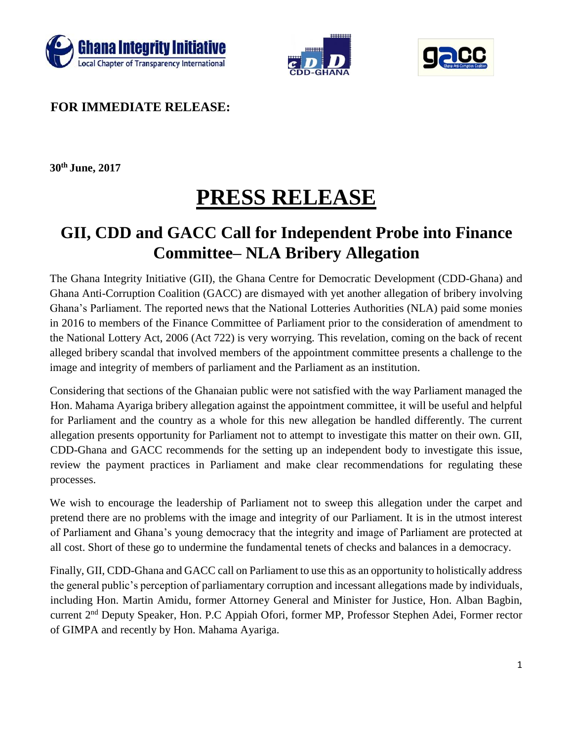





**FOR IMMEDIATE RELEASE:** 

**30th June, 2017** 

## **PRESS RELEASE**

## **GII, CDD and GACC Call for Independent Probe into Finance Committee– NLA Bribery Allegation**

The Ghana Integrity Initiative (GII), the Ghana Centre for Democratic Development (CDD-Ghana) and Ghana Anti-Corruption Coalition (GACC) are dismayed with yet another allegation of bribery involving Ghana's Parliament. The reported news that the National Lotteries Authorities (NLA) paid some monies in 2016 to members of the Finance Committee of Parliament prior to the consideration of amendment to the National Lottery Act, 2006 (Act 722) is very worrying. This revelation, coming on the back of recent alleged bribery scandal that involved members of the appointment committee presents a challenge to the image and integrity of members of parliament and the Parliament as an institution.

Considering that sections of the Ghanaian public were not satisfied with the way Parliament managed the Hon. Mahama Ayariga bribery allegation against the appointment committee, it will be useful and helpful for Parliament and the country as a whole for this new allegation be handled differently. The current allegation presents opportunity for Parliament not to attempt to investigate this matter on their own. GII, CDD-Ghana and GACC recommends for the setting up an independent body to investigate this issue, review the payment practices in Parliament and make clear recommendations for regulating these processes.

We wish to encourage the leadership of Parliament not to sweep this allegation under the carpet and pretend there are no problems with the image and integrity of our Parliament. It is in the utmost interest of Parliament and Ghana's young democracy that the integrity and image of Parliament are protected at all cost. Short of these go to undermine the fundamental tenets of checks and balances in a democracy.

Finally, GII, CDD-Ghana and GACC call on Parliament to use this as an opportunity to holistically address the general public's perception of parliamentary corruption and incessant allegations made by individuals, including Hon. Martin Amidu, former Attorney General and Minister for Justice, Hon. Alban Bagbin, current 2<sup>nd</sup> Deputy Speaker, Hon. P.C Appiah Ofori, former MP, Professor Stephen Adei, Former rector of GIMPA and recently by Hon. Mahama Ayariga.